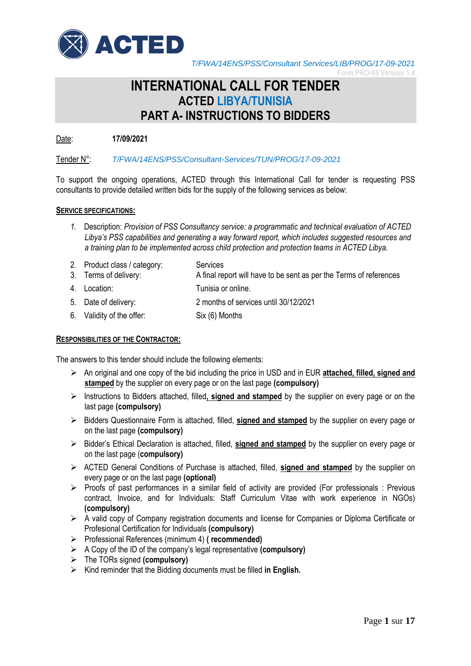

**Form PRO-05 Version 1.4**

# **INTERNATIONAL CALL FOR TENDER ACTED LIBYA/TUNISIA PART A- INSTRUCTIONS TO BIDDERS**

Date: **17/09/2021**

Tender N°: *T/FWA/14ENS/PSS/Consultant-Services/TUN/PROG/17-09-2021*

To support the ongoing operations, ACTED through this International Call for tender is requesting PSS consultants to provide detailed written bids for the supply of the following services as below:

#### **SERVICE SPECIFICATIONS:**

- *1.* Description: *Provision of PSS Consultancy service: a programmatic and technical evaluation of ACTED Libya's PSS capabilities and generating a way forward report, which includes suggested resources and a training plan to be implemented across child protection and protection teams in ACTED Libya.*
- 3. Terms of delivery: A final report will have to be sent as per the Terms of references 2. Product class / category: Services
- 4. Location: Tunisia or online.
- 5. Date of delivery: 2 months of services until 30/12/2021
- 6. Validity of the offer: Six (6) Months

#### **RESPONSIBILITIES OF THE CONTRACTOR:**

The answers to this tender should include the following elements:

- An original and one copy of the bid including the price in USD and in EUR **attached, filled, signed and stamped** by the supplier on every page or on the last page **(compulsory)**
- Instructions to Bidders attached, filled**, signed and stamped** by the supplier on every page or on the last page **(compulsory)**
- **►** Bidders Questionnaire Form is attached, filled, signed and stamped by the supplier on every page or on the last page **(compulsory)**
- Bidder's Ethical Declaration is attached, filled, **signed and stamped** by the supplier on every page or on the last page (**compulsory)**
- ACTED General Conditions of Purchase is attached, filled, **signed and stamped** by the supplier on every page or on the last page **(optional)**
- $\triangleright$  Proofs of past performances in a similar field of activity are provided (For professionals : Previous contract, Invoice, and for Individuals: Staff Curriculum Vitae with work experience in NGOs) **(compulsory)**
- A valid copy of Company registration documents and license for Companies or Diploma Certificate or Profesional Certification for Individuals **(compulsory)**
- Professional References (minimum 4) **( recommended)**
- A Copy of the ID of the company's legal representative **(compulsory)**
- The TORs signed **(compulsory)**
- $\triangleright$  Kind reminder that the Bidding documents must be filled in English.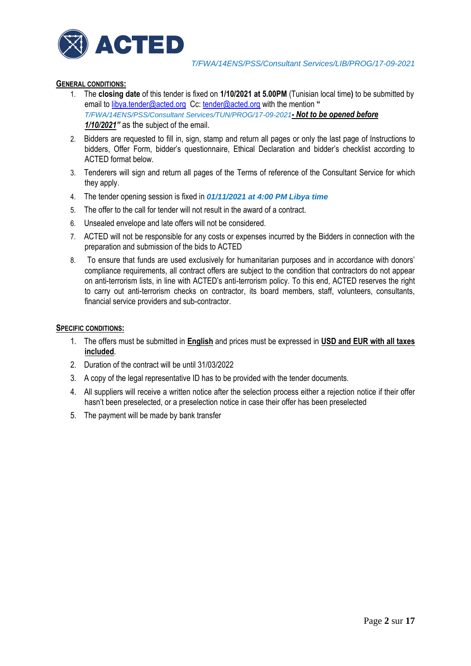

# **GENERAL CONDITIONS:**

- 1. The **closing date** of this tender is fixed on **1/10/2021 at 5.00PM** (Tunisian local time**)** to be submitted by email to [libya.tender@acted.org](mailto:libya.tender@acted.org) Cc: [tender@acted.org](mailto:tender@acted.org) with the mention " *T/FWA/14ENS/PSS/Consultant Services/TUN/PROG/17-09-2021- Not to be opened before 1/10/2021"* as the subject of the email.
- 2. Bidders are requested to fill in, sign, stamp and return all pages or only the last page of Instructions to bidders, Offer Form, bidder's questionnaire, Ethical Declaration and bidder's checklist according to ACTED format below.
- 3. Tenderers will sign and return all pages of the Terms of reference of the Consultant Service for which they apply.
- 4. The tender opening session is fixed in *01/11/2021 at 4:00 PM Libya time*
- 5. The offer to the call for tender will not result in the award of a contract.
- 6. Unsealed envelope and late offers will not be considered.
- 7. ACTED will not be responsible for any costs or expenses incurred by the Bidders in connection with the preparation and submission of the bids to ACTED
- 8. To ensure that funds are used exclusively for humanitarian purposes and in accordance with donors' compliance requirements, all contract offers are subject to the condition that contractors do not appear on anti-terrorism lists, in line with ACTED's anti-terrorism policy. To this end, ACTED reserves the right to carry out anti-terrorism checks on contractor, its board members, staff, volunteers, consultants, financial service providers and sub-contractor.

#### **SPECIFIC CONDITIONS:**

- 1. The offers must be submitted in **English** and prices must be expressed in **USD and EUR with all taxes included**.
- 2. Duration of the contract will be until 31/03/2022
- 3. A copy of the legal representative ID has to be provided with the tender documents.
- 4. All suppliers will receive a written notice after the selection process either a rejection notice if their offer hasn't been preselected, or a preselection notice in case their offer has been preselected
- 5. The payment will be made by bank transfer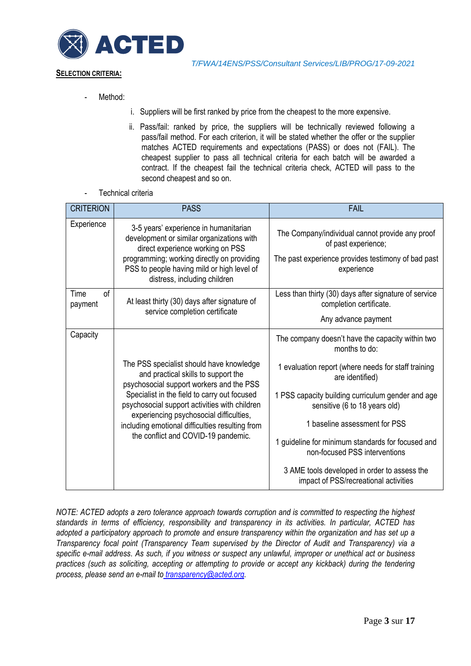

# **SELECTION CRITERIA:**

- Method:
- i. Suppliers will be first ranked by price from the cheapest to the more expensive.
- ii. Pass/fail: ranked by price, the suppliers will be technically reviewed following a pass/fail method. For each criterion, it will be stated whether the offer or the supplier matches ACTED requirements and expectations (PASS) or does not (FAIL). The cheapest supplier to pass all technical criteria for each batch will be awarded a contract. If the cheapest fail the technical criteria check, ACTED will pass to the second cheapest and so on.
- Technical criteria

| <b>CRITERION</b>      | <b>PASS</b>                                                                                                                                                                                                                                                                                                                                                       | <b>FAIL</b>                                                                                                                                                                                                                                                                                                                                                                                                                                       |
|-----------------------|-------------------------------------------------------------------------------------------------------------------------------------------------------------------------------------------------------------------------------------------------------------------------------------------------------------------------------------------------------------------|---------------------------------------------------------------------------------------------------------------------------------------------------------------------------------------------------------------------------------------------------------------------------------------------------------------------------------------------------------------------------------------------------------------------------------------------------|
| Experience            | 3-5 years' experience in humanitarian<br>development or similar organizations with<br>direct experience working on PSS<br>programming; working directly on providing<br>PSS to people having mild or high level of<br>distress, including children                                                                                                                | The Company/individual cannot provide any proof<br>of past experience;<br>The past experience provides testimony of bad past<br>experience                                                                                                                                                                                                                                                                                                        |
| Time<br>οf<br>payment | At least thirty (30) days after signature of<br>service completion certificate                                                                                                                                                                                                                                                                                    | Less than thirty (30) days after signature of service<br>completion certificate.<br>Any advance payment                                                                                                                                                                                                                                                                                                                                           |
| Capacity              | The PSS specialist should have knowledge<br>and practical skills to support the<br>psychosocial support workers and the PSS<br>Specialist in the field to carry out focused<br>psychosocial support activities with children<br>experiencing psychosocial difficulties,<br>including emotional difficulties resulting from<br>the conflict and COVID-19 pandemic. | The company doesn't have the capacity within two<br>months to do:<br>1 evaluation report (where needs for staff training<br>are identified)<br>1 PSS capacity building curriculum gender and age<br>sensitive (6 to 18 years old)<br>1 baseline assessment for PSS<br>1 guideline for minimum standards for focused and<br>non-focused PSS interventions<br>3 AME tools developed in order to assess the<br>impact of PSS/recreational activities |

*NOTE: ACTED adopts a zero tolerance approach towards corruption and is committed to respecting the highest standards in terms of efficiency, responsibility and transparency in its activities. In particular, ACTED has adopted a participatory approach to promote and ensure transparency within the organization and has set up a Transparency focal point (Transparency Team supervised by the Director of Audit and Transparency) via a specific e-mail address*. *As such, if you witness or suspect any unlawful, improper or unethical act or business practices (such as soliciting, accepting or attempting to provide or accept any kickback) during the tendering process, please send an e-mail to [transparency@acted.org.](mailto:transparency@acted.org)*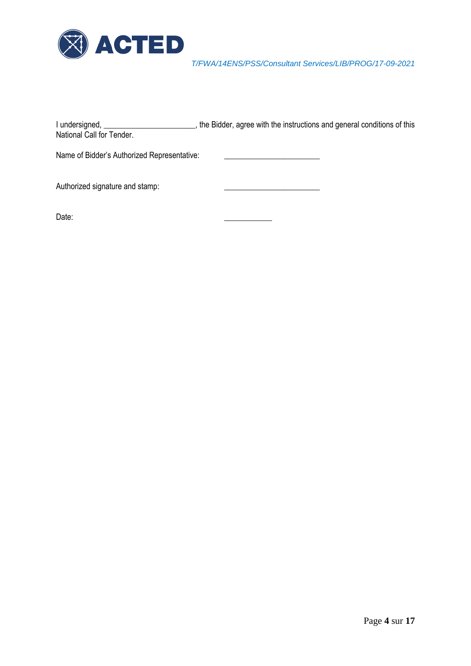

| I undersigned,<br>National Call for Tender. | the Bidder, agree with the instructions and general conditions of this |
|---------------------------------------------|------------------------------------------------------------------------|
| Name of Bidder's Authorized Representative: |                                                                        |
| Authorized signature and stamp:             |                                                                        |
| Date:                                       |                                                                        |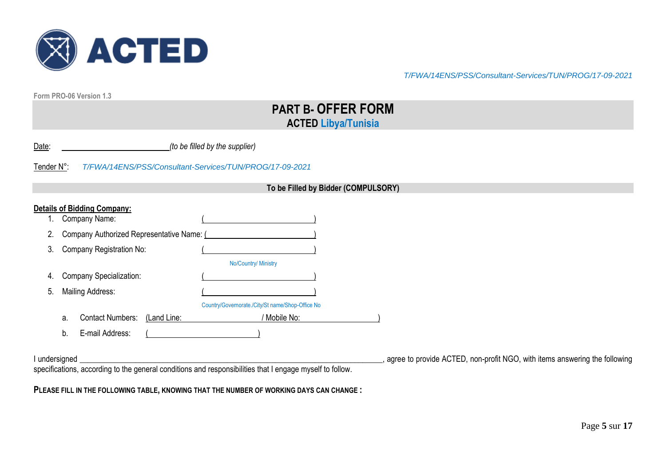

**Form PRO-06 Version 1.3**

# **PART B- OFFER FORM ACTED Libya/Tunisia**

|  | Date: |  | (to be filled by the supplier) |
|--|-------|--|--------------------------------|
|--|-------|--|--------------------------------|

Tender N°: *T/FWA/14ENS/PSS/Consultant-Services/TUN/PROG/17-09-2021*

#### **To be Filled by Bidder (COMPULSORY)**

|    |    | Company Name:                             |             |                                                  |  |
|----|----|-------------------------------------------|-------------|--------------------------------------------------|--|
| 2. |    | Company Authorized Representative Name: ( |             |                                                  |  |
| 3. |    | Company Registration No:                  |             |                                                  |  |
|    |    |                                           |             | No/Country/ Ministry                             |  |
| 4. |    | <b>Company Specialization:</b>            |             |                                                  |  |
| 5. |    | Mailing Address:                          |             |                                                  |  |
|    |    |                                           |             | Country/Governorate./City/St name/Shop-Office No |  |
|    | a. | <b>Contact Numbers:</b>                   | (Land Line: | / Mobile No:                                     |  |
|    | b. | E-mail Address:                           |             |                                                  |  |

I undersigned \_\_\_\_\_\_\_\_\_\_\_\_\_\_\_\_\_\_\_\_\_\_\_\_\_\_\_\_\_\_\_\_\_\_\_\_\_\_\_\_\_\_\_\_\_\_\_\_\_\_\_\_\_\_\_\_\_\_\_\_\_\_\_\_\_\_\_\_\_\_\_\_\_\_\_\_, agree to provide ACTED, non-profit NGO, with items answering the following specifications, according to the general conditions and responsibilities that I engage myself to follow.

**PLEASE FILL IN THE FOLLOWING TABLE, KNOWING THAT THE NUMBER OF WORKING DAYS CAN CHANGE :**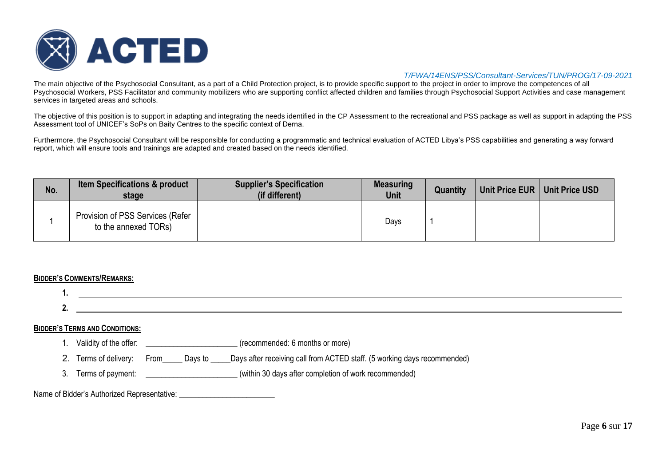

The main objective of the Psychosocial Consultant, as a part of a Child Protection project, is to provide specific support to the project in order to improve the competences of all Psychosocial Workers, PSS Facilitator and community mobilizers who are supporting conflict affected children and families through Psychosocial Support Activities and case management services in targeted areas and schools.

The objective of this position is to support in adapting and integrating the needs identified in the CP Assessment to the recreational and PSS package as well as support in adapting the PSS Assessment tool of UNICEF's SoPs on Baity Centres to the specific context of Derna.

Furthermore, the Psychosocial Consultant will be responsible for conducting a programmatic and technical evaluation of ACTED Libya's PSS capabilities and generating a way forward report, which will ensure tools and trainings are adapted and created based on the needs identified.

| No. | <b>Item Specifications &amp; product</b><br>stage        | <b>Supplier's Specification</b><br>(if different) | <b>Measuring</b><br>Unit | <b>Quantity</b> | Unit Price EUR | <b>Unit Price USD</b> |
|-----|----------------------------------------------------------|---------------------------------------------------|--------------------------|-----------------|----------------|-----------------------|
|     | Provision of PSS Services (Refer<br>to the annexed TORs) |                                                   | Days                     |                 |                |                       |

#### **BIDDER'S COMMENTS/REMARKS:**

| <b>BIDDER'S TERMS AND CONDITIONS:</b>       |              |                                                                          |
|---------------------------------------------|--------------|--------------------------------------------------------------------------|
|                                             |              | (recommended: 6 months or more)                                          |
| 2. Terms of delivery:                       | From Days to | Days after receiving call from ACTED staff. (5 working days recommended) |
| 3. Terms of payment:                        |              | (within 30 days after completion of work recommended)                    |
| Name of Bidder's Authorized Representative: |              |                                                                          |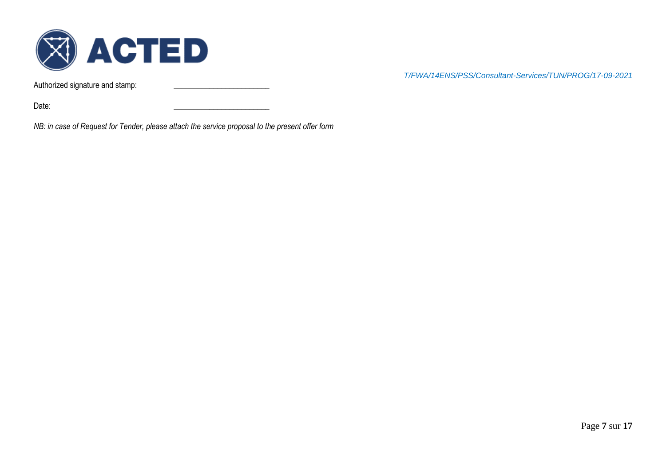

Authorized signature and stamp:

*T/FWA/14ENS/PSS/Consultant-Services/TUN/PROG/17-09-2021*

Date: \_\_\_\_\_\_\_\_\_\_\_\_\_\_\_\_\_\_\_\_\_\_\_\_

*NB: in case of Request for Tender, please attach the service proposal to the present offer form*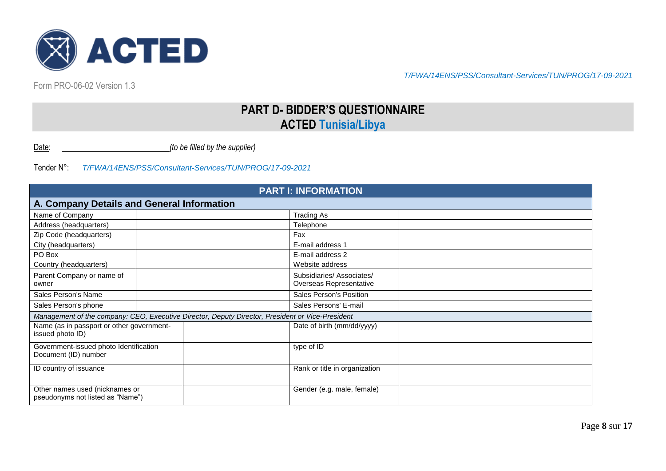

Form PRO-06-02 Version 1.3

# **PART D- BIDDER'S QUESTIONNAIRE ACTED Tunisia/Libya**

Date: *(to be filled by the supplier)*

| <b>PART I: INFORMATION</b>                                         |                                                                                                  |                                                     |  |  |  |  |  |
|--------------------------------------------------------------------|--------------------------------------------------------------------------------------------------|-----------------------------------------------------|--|--|--|--|--|
| A. Company Details and General Information                         |                                                                                                  |                                                     |  |  |  |  |  |
| Name of Company                                                    |                                                                                                  | <b>Trading As</b>                                   |  |  |  |  |  |
| Address (headquarters)                                             |                                                                                                  | Telephone                                           |  |  |  |  |  |
| Zip Code (headquarters)                                            |                                                                                                  | Fax                                                 |  |  |  |  |  |
| City (headquarters)                                                |                                                                                                  | E-mail address 1                                    |  |  |  |  |  |
| PO Box                                                             |                                                                                                  | E-mail address 2                                    |  |  |  |  |  |
| Country (headquarters)                                             |                                                                                                  | Website address                                     |  |  |  |  |  |
| Parent Company or name of<br>owner                                 |                                                                                                  | Subsidiaries/Associates/<br>Overseas Representative |  |  |  |  |  |
| Sales Person's Name                                                |                                                                                                  | Sales Person's Position                             |  |  |  |  |  |
| Sales Person's phone                                               |                                                                                                  | Sales Persons' E-mail                               |  |  |  |  |  |
|                                                                    | Management of the company: CEO, Executive Director, Deputy Director, President or Vice-President |                                                     |  |  |  |  |  |
| Name (as in passport or other government-<br>issued photo ID)      |                                                                                                  | Date of birth (mm/dd/yyyy)                          |  |  |  |  |  |
| Government-issued photo Identification<br>Document (ID) number     |                                                                                                  | type of ID                                          |  |  |  |  |  |
| ID country of issuance                                             |                                                                                                  | Rank or title in organization                       |  |  |  |  |  |
| Other names used (nicknames or<br>pseudonyms not listed as "Name") |                                                                                                  | Gender (e.g. male, female)                          |  |  |  |  |  |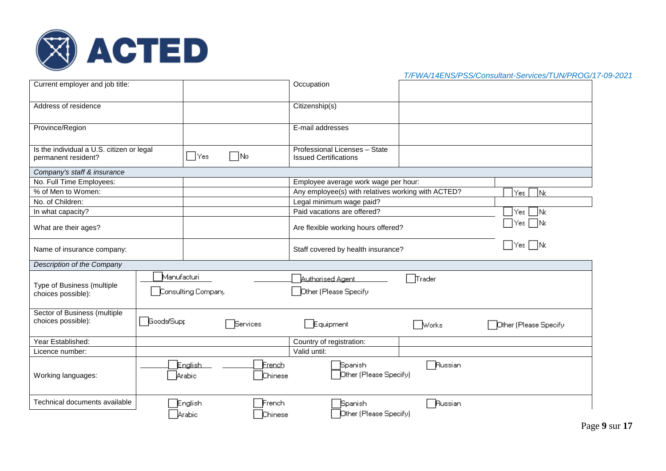

| T/FWA/14ENS/PSS/Consultant-Services/TUN/PROG/17-09-2021 |  |
|---------------------------------------------------------|--|
|---------------------------------------------------------|--|

| Current employer and job title:                                  |                   |                          |                   | Occupation                                                    |              |                       |
|------------------------------------------------------------------|-------------------|--------------------------|-------------------|---------------------------------------------------------------|--------------|-----------------------|
| Address of residence                                             |                   |                          |                   | Citizenship(s)                                                |              |                       |
| Province/Region                                                  |                   |                          |                   | E-mail addresses                                              |              |                       |
| Is the individual a U.S. citizen or legal<br>permanent resident? |                   | $\Box$ Yes               | $\sqcap$ No       | Professional Licenses - State<br><b>Issued Certifications</b> |              |                       |
| Company's staff & insurance                                      |                   |                          |                   |                                                               |              |                       |
| No. Full Time Employees:                                         |                   |                          |                   | Employee average work wage per hour:                          |              |                       |
| % of Men to Women:                                               |                   |                          |                   | Any employee(s) with relatives working with ACTED?            |              | Yes<br>Nc             |
| No. of Children:                                                 |                   |                          |                   | Legal minimum wage paid?                                      |              |                       |
| In what capacity?                                                |                   |                          |                   | Paid vacations are offered?                                   |              | ∏Yes<br>- INc         |
| What are their ages?                                             |                   |                          |                   | Are flexible working hours offered?                           |              | $\Box$ Yes $\Box$ Nc  |
| Name of insurance company:                                       |                   |                          |                   | $\Box$ Yes $\Box$ No<br>Staff covered by health insurance?    |              |                       |
| Description of the Company                                       |                   |                          |                   |                                                               |              |                       |
|                                                                  | Manufacturi       |                          |                   | <b>Authorised Agent</b>                                       | Trader       |                       |
| Type of Business (multiple<br>choices possible):                 |                   | Consulting Company       |                   | Other (Please Specify                                         |              |                       |
| Sector of Business (multiple<br>choices possible):               | <b>Goods/Supp</b> |                          | Services          | Equipment                                                     | <b>Works</b> | Other (Please Specify |
| Year Established:                                                |                   |                          |                   | Country of registration:                                      |              |                       |
| Licence number:                                                  |                   |                          |                   | Valid until:                                                  |              |                       |
| Working languages:                                               |                   | <b>English</b><br>Arabic | Erench<br>Chinese | Spanish<br>Dther (Please Specify)                             | Russian      |                       |
| Technical documents available                                    |                   | English<br>Arabic        | French<br>Chinese | <b>Spanish</b><br>Dther (Please Specify)                      | Russian      |                       |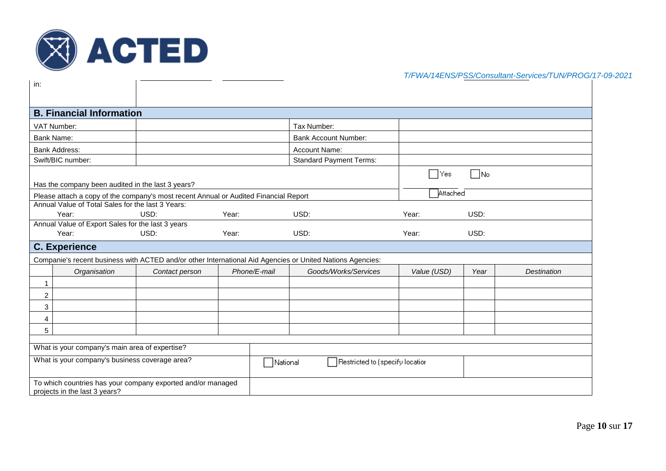

| in:                                                                                                       |                |              |                                |               |              |                    |  |
|-----------------------------------------------------------------------------------------------------------|----------------|--------------|--------------------------------|---------------|--------------|--------------------|--|
| <b>B. Financial Information</b>                                                                           |                |              |                                |               |              |                    |  |
| VAT Number:                                                                                               |                |              | Tax Number:                    |               |              |                    |  |
| <b>Bank Name:</b>                                                                                         |                |              | <b>Bank Account Number:</b>    |               |              |                    |  |
| <b>Bank Address:</b>                                                                                      |                |              | Account Name:                  |               |              |                    |  |
| Swift/BIC number:                                                                                         |                |              | <b>Standard Payment Terms:</b> |               |              |                    |  |
|                                                                                                           |                |              |                                | Yes<br>$\sim$ | $\square$ No |                    |  |
| Has the company been audited in the last 3 years?                                                         |                |              |                                |               |              |                    |  |
| Please attach a copy of the company's most recent Annual or Audited Financial Report                      |                |              |                                | Attached      |              |                    |  |
| Annual Value of Total Sales for the last 3 Years:                                                         |                |              |                                |               |              |                    |  |
| Year:<br>Annual Value of Export Sales for the last 3 years                                                | USD:           | Year:        | USD:                           | Year:         | USD:         |                    |  |
| Year:                                                                                                     | USD:           | Year:        | USD:                           | Year:         | USD:         |                    |  |
| <b>C. Experience</b>                                                                                      |                |              |                                |               |              |                    |  |
| Companie's recent business with ACTED and/or other International Aid Agencies or United Nations Agencies: |                |              |                                |               |              |                    |  |
| Organisation                                                                                              | Contact person | Phone/E-mail | Goods/Works/Services           | Value (USD)   | Year         | <b>Destination</b> |  |
| $\mathbf{1}$                                                                                              |                |              |                                |               |              |                    |  |
| $\overline{c}$                                                                                            |                |              |                                |               |              |                    |  |
| 3                                                                                                         |                |              |                                |               |              |                    |  |
| 4                                                                                                         |                |              |                                |               |              |                    |  |
| 5                                                                                                         |                |              |                                |               |              |                    |  |
|                                                                                                           |                |              |                                |               |              |                    |  |
| What is your company's main area of expertise?                                                            |                |              |                                |               |              |                    |  |
| What is your company's business coverage area?<br>Restricted to (specify location<br>National             |                |              |                                |               |              |                    |  |
| To which countries has your company exported and/or managed<br>projects in the last 3 years?              |                |              |                                |               |              |                    |  |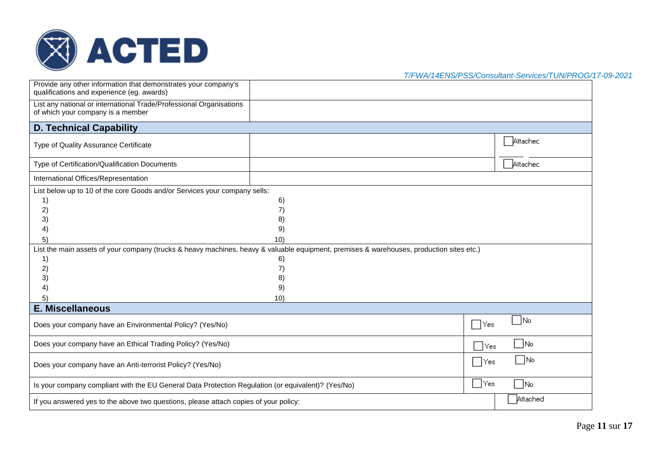

*T/FWA/14ENS/PSS/Consultant-Services/TUN/PROG/17-09-2021*

| Provide any other information that demonstrates your company's<br>qualifications and experience (eg. awards)                             |     |  |          |  |  |  |  |
|------------------------------------------------------------------------------------------------------------------------------------------|-----|--|----------|--|--|--|--|
| List any national or international Trade/Professional Organisations<br>of which your company is a member                                 |     |  |          |  |  |  |  |
| <b>D. Technical Capability</b>                                                                                                           |     |  |          |  |  |  |  |
| Type of Quality Assurance Certificate                                                                                                    |     |  | Attachec |  |  |  |  |
| Type of Certification/Qualification Documents                                                                                            |     |  | Attachec |  |  |  |  |
| International Offices/Representation                                                                                                     |     |  |          |  |  |  |  |
| List below up to 10 of the core Goods and/or Services your company sells:                                                                |     |  |          |  |  |  |  |
| 1)                                                                                                                                       | 6)  |  |          |  |  |  |  |
| $\bf{2)}$                                                                                                                                | 7)  |  |          |  |  |  |  |
| 3)                                                                                                                                       | 8)  |  |          |  |  |  |  |
| 4)                                                                                                                                       | 9)  |  |          |  |  |  |  |
| 5)                                                                                                                                       | 10) |  |          |  |  |  |  |
| List the main assets of your company (trucks & heavy machines, heavy & valuable equipment, premises & warehouses, production sites etc.) |     |  |          |  |  |  |  |
| 1)                                                                                                                                       | 6)  |  |          |  |  |  |  |
| 2)                                                                                                                                       | 7)  |  |          |  |  |  |  |
| 3)                                                                                                                                       | 8)  |  |          |  |  |  |  |
| 4)                                                                                                                                       | 9)  |  |          |  |  |  |  |
| 5)                                                                                                                                       | 10) |  |          |  |  |  |  |
| <b>E. Miscellaneous</b>                                                                                                                  |     |  |          |  |  |  |  |
| No<br>⊟Yes<br>Does your company have an Environmental Policy? (Yes/No)                                                                   |     |  |          |  |  |  |  |
| No<br>Does your company have an Ethical Trading Policy? (Yes/No)<br>∣Yes                                                                 |     |  |          |  |  |  |  |
| ∩No<br>– IYes<br>Does your company have an Anti-terrorist Policy? (Yes/No)                                                               |     |  |          |  |  |  |  |
| ∣Yes<br>$\Box$ No<br>Is your company compliant with the EU General Data Protection Regulation (or equivalent)? (Yes/No)                  |     |  |          |  |  |  |  |
| Attached<br>If you answered yes to the above two questions, please attach copies of your policy:                                         |     |  |          |  |  |  |  |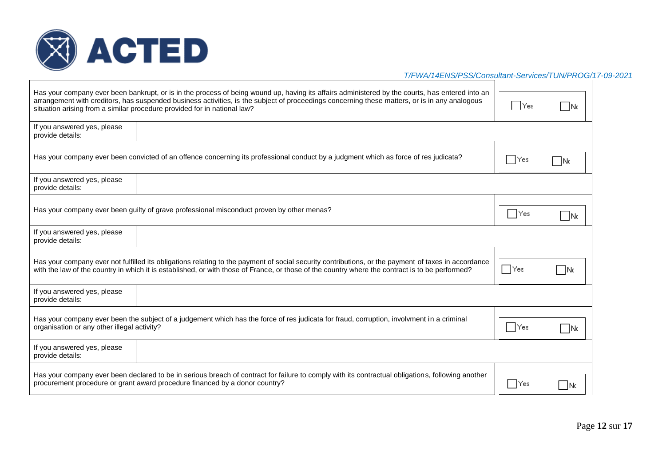

| Has your company ever been bankrupt, or is in the process of being wound up, having its affairs administered by the courts, has entered into an<br>arrangement with creditors, has suspended business activities, is the subject of proceedings concerning these matters, or is in any analogous<br>situation arising from a similar procedure provided for in national law? | TYes    | -INc |
|------------------------------------------------------------------------------------------------------------------------------------------------------------------------------------------------------------------------------------------------------------------------------------------------------------------------------------------------------------------------------|---------|------|
| If you answered yes, please<br>provide details:                                                                                                                                                                                                                                                                                                                              |         |      |
| Has your company ever been convicted of an offence concerning its professional conduct by a judgment which as force of res judicata?                                                                                                                                                                                                                                         | Yes     | -INc |
| If you answered yes, please<br>provide details:                                                                                                                                                                                                                                                                                                                              |         |      |
| Has your company ever been guilty of grave professional misconduct proven by other menas?                                                                                                                                                                                                                                                                                    | – I Yes |      |
| If you answered yes, please<br>provide details:                                                                                                                                                                                                                                                                                                                              |         |      |
| Has your company ever not fulfilled its obligations relating to the payment of social security contributions, or the payment of taxes in accordance<br>with the law of the country in which it is established, or with those of France, or those of the country where the contract is to be performed?                                                                       | ∏Yes    | -INc |
| If you answered yes, please<br>provide details:                                                                                                                                                                                                                                                                                                                              |         |      |
| Has your company ever been the subject of a judgement which has the force of res judicata for fraud, corruption, involvment in a criminal<br>organisation or any other illegal activity?                                                                                                                                                                                     | – I Yes | -INc |
| If you answered yes, please<br>provide details:                                                                                                                                                                                                                                                                                                                              |         |      |
| Has your company ever been declared to be in serious breach of contract for failure to comply with its contractual obligations, following another<br>procurement procedure or grant award procedure financed by a donor country?                                                                                                                                             | – I Yes |      |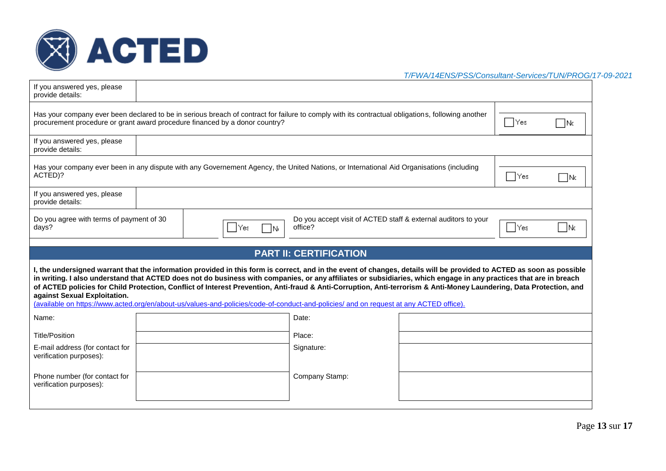

| If you answered yes, please<br>provide details:            |                                                                                                                                                                                                                                  |                                                                                                                                                                                                                                                                                                                                                                                                                                                                                                                  |
|------------------------------------------------------------|----------------------------------------------------------------------------------------------------------------------------------------------------------------------------------------------------------------------------------|------------------------------------------------------------------------------------------------------------------------------------------------------------------------------------------------------------------------------------------------------------------------------------------------------------------------------------------------------------------------------------------------------------------------------------------------------------------------------------------------------------------|
|                                                            | Has your company ever been declared to be in serious breach of contract for failure to comply with its contractual obligations, following another<br>procurement procedure or grant award procedure financed by a donor country? | – I Yes<br>1Nc                                                                                                                                                                                                                                                                                                                                                                                                                                                                                                   |
| If you answered yes, please<br>provide details:            |                                                                                                                                                                                                                                  |                                                                                                                                                                                                                                                                                                                                                                                                                                                                                                                  |
| ACTED)?                                                    | Has your company ever been in any dispute with any Governement Agency, the United Nations, or International Aid Organisations (including                                                                                         | lYes.<br>– INc                                                                                                                                                                                                                                                                                                                                                                                                                                                                                                   |
| If you answered yes, please<br>provide details:            |                                                                                                                                                                                                                                  |                                                                                                                                                                                                                                                                                                                                                                                                                                                                                                                  |
| Do you agree with terms of payment of 30<br>days?          | office?<br>$ Y$ es<br>TNE                                                                                                                                                                                                        | Do you accept visit of ACTED staff & external auditors to your<br>– INc<br>l Yes                                                                                                                                                                                                                                                                                                                                                                                                                                 |
|                                                            |                                                                                                                                                                                                                                  |                                                                                                                                                                                                                                                                                                                                                                                                                                                                                                                  |
|                                                            | <b>PART II: CERTIFICATION</b>                                                                                                                                                                                                    |                                                                                                                                                                                                                                                                                                                                                                                                                                                                                                                  |
| against Sexual Exploitation.                               | (available on https://www.acted.org/en/about-us/values-and-policies/code-of-conduct-and-policies/ and on request at any ACTED office).                                                                                           | I, the undersigned warrant that the information provided in this form is correct, and in the event of changes, details will be provided to ACTED as soon as possible<br>in writing. I also understand that ACTED does not do business with companies, or any affiliates or subsidiaries, which engage in any practices that are in breach<br>of ACTED policies for Child Protection, Conflict of Interest Prevention, Anti-fraud & Anti-Corruption, Anti-terrorism & Anti-Money Laundering, Data Protection, and |
| Name:                                                      | Date:                                                                                                                                                                                                                            |                                                                                                                                                                                                                                                                                                                                                                                                                                                                                                                  |
| <b>Title/Position</b>                                      | Place:                                                                                                                                                                                                                           |                                                                                                                                                                                                                                                                                                                                                                                                                                                                                                                  |
| E-mail address (for contact for<br>verification purposes): | Signature:                                                                                                                                                                                                                       |                                                                                                                                                                                                                                                                                                                                                                                                                                                                                                                  |
| Phone number (for contact for<br>verification purposes):   | Company Stamp:                                                                                                                                                                                                                   |                                                                                                                                                                                                                                                                                                                                                                                                                                                                                                                  |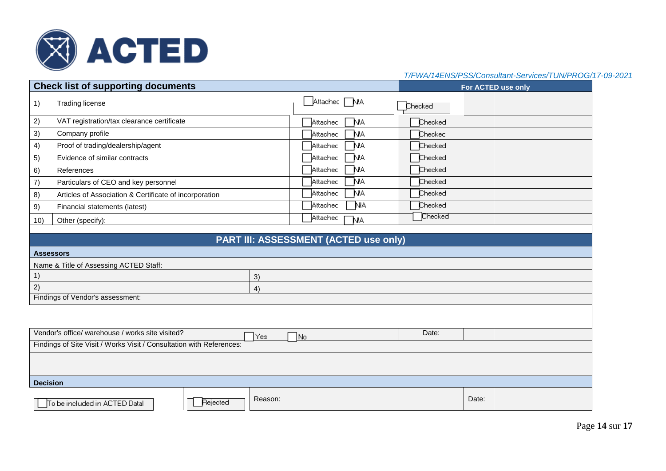

|                 | <b>Check list of supporting documents</b>                            |                                       |         | For ACTED use only |
|-----------------|----------------------------------------------------------------------|---------------------------------------|---------|--------------------|
| 1)              | <b>Trading license</b>                                               | Attachec NA                           | Checked |                    |
| 2)              | VAT registration/tax clearance certificate                           | Attachec<br>NA.                       | Checked |                    |
| 3)              | Company profile                                                      | NA<br>Attachec                        | Checkec |                    |
| 4)              | Proof of trading/dealership/agent                                    | NА<br>Attachec                        | Checked |                    |
| 5)              | Evidence of similar contracts                                        | N٨<br>Attachec                        | Checked |                    |
| 6)              | References                                                           | NА<br>Attachec                        | Checked |                    |
| 7)              | Particulars of CEO and key personnel                                 | NА<br>Attachec                        | Checked |                    |
| 8)              | Articles of Association & Certificate of incorporation               | N۸<br>Attached                        | Checked |                    |
| 9)              | Financial statements (latest)                                        | <b>NA</b><br>Attachec                 | Checked |                    |
| 10)             | Other (specify):                                                     | Attachec<br>N٨                        | Checked |                    |
|                 |                                                                      |                                       |         |                    |
|                 |                                                                      | PART III: ASSESSMENT (ACTED use only) |         |                    |
|                 | <b>Assessors</b>                                                     |                                       |         |                    |
|                 | Name & Title of Assessing ACTED Staff:                               |                                       |         |                    |
| 1)              | 3)                                                                   |                                       |         |                    |
| 2)              | 4)                                                                   |                                       |         |                    |
|                 | Findings of Vendor's assessment:                                     |                                       |         |                    |
|                 |                                                                      |                                       |         |                    |
|                 |                                                                      |                                       |         |                    |
|                 | Vendor's office/ warehouse / works site visited?<br>Yes              | 1No                                   | Date:   |                    |
|                 | Findings of Site Visit / Works Visit / Consultation with References: |                                       |         |                    |
|                 |                                                                      |                                       |         |                    |
| <b>Decision</b> |                                                                      |                                       |         |                    |
|                 | Reason:<br>Rejected<br>To be included in ACTED Datal                 |                                       |         | Date:              |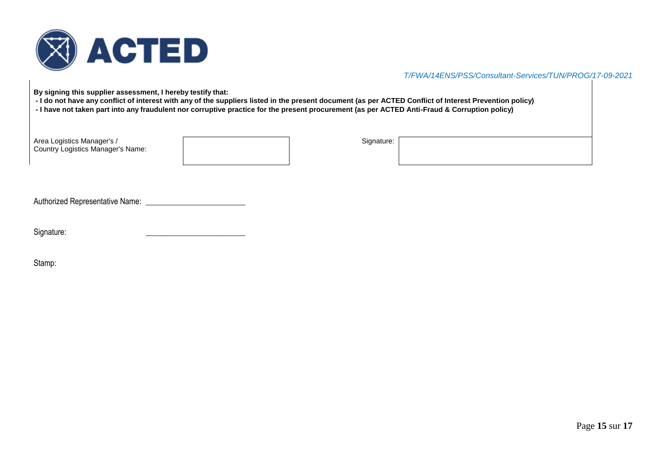

**By signing this supplier assessment, I hereby testify that:**

- **- I do not have any conflict of interest with any of the suppliers listed in the present document (as per ACTED Conflict of Interest Prevention policy)**
- **- I have not taken part into any fraudulent nor corruptive practice for the present procurement (as per ACTED Anti-Fraud & Corruption policy)**

| Area Logistics Manager's /<br><b>Country Logistics Manager's Name:</b> | Signature: |  |
|------------------------------------------------------------------------|------------|--|
|                                                                        |            |  |

Authorized Representative Name: \_\_\_\_\_\_\_\_\_\_\_\_\_\_\_\_\_\_\_\_\_\_\_\_\_

| Signature: |  |  |
|------------|--|--|
|            |  |  |

Stamp: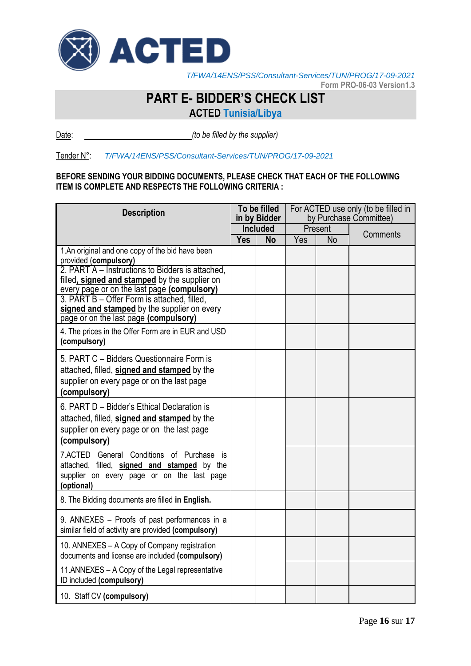

 $\overline{a}$ *T/FWA/14ENS/PSS/Consultant-Services/TUN/PROG/17-09-2021*

**Form PRO-06-03 Version1.3**

# **PART E- BIDDER'S CHECK LIST**

**ACTED Tunisia/Libya**

Date: *(to be filled by the supplier)*

# Tender N°: *T/FWA/14ENS/PSS/Consultant-Services/TUN/PROG/17-09-2021*

# **BEFORE SENDING YOUR BIDDING DOCUMENTS, PLEASE CHECK THAT EACH OF THE FOLLOWING ITEM IS COMPLETE AND RESPECTS THE FOLLOWING CRITERIA :**

| <b>Description</b>                                                                                                                                       |            | To be filled<br>in by Bidder |     |           | For ACTED use only (to be filled in<br>by Purchase Committee) |
|----------------------------------------------------------------------------------------------------------------------------------------------------------|------------|------------------------------|-----|-----------|---------------------------------------------------------------|
|                                                                                                                                                          |            | <b>Included</b>              |     | Present   | Comments                                                      |
| 1.An original and one copy of the bid have been<br>provided (compulsory)                                                                                 | <b>Yes</b> | <b>No</b>                    | Yes | <b>No</b> |                                                               |
| 2. PART A – Instructions to Bidders is attached.<br>filled, signed and stamped by the supplier on<br>every page or on the last page (compulsory)         |            |                              |     |           |                                                               |
| 3. PART B - Offer Form is attached, filled,<br>signed and stamped by the supplier on every<br>page or on the last page (compulsory)                      |            |                              |     |           |                                                               |
| 4. The prices in the Offer Form are in EUR and USD<br>(compulsory)                                                                                       |            |                              |     |           |                                                               |
| 5. PART C - Bidders Questionnaire Form is<br>attached, filled, signed and stamped by the<br>supplier on every page or on the last page<br>(compulsory)   |            |                              |     |           |                                                               |
| 6. PART D - Bidder's Ethical Declaration is<br>attached, filled, signed and stamped by the<br>supplier on every page or on the last page<br>(compulsory) |            |                              |     |           |                                                               |
| 7.ACTED General Conditions of Purchase is<br>attached, filled, signed and stamped by the<br>supplier on every page or on the last page<br>(optional)     |            |                              |     |           |                                                               |
| 8. The Bidding documents are filled in English.                                                                                                          |            |                              |     |           |                                                               |
| 9. ANNEXES - Proofs of past performances in a<br>similar field of activity are provided (compulsory)                                                     |            |                              |     |           |                                                               |
| 10. ANNEXES - A Copy of Company registration<br>documents and license are included (compulsory)                                                          |            |                              |     |           |                                                               |
| 11. ANNEXES - A Copy of the Legal representative<br>ID included (compulsory)                                                                             |            |                              |     |           |                                                               |
| 10. Staff CV (compulsory)                                                                                                                                |            |                              |     |           |                                                               |